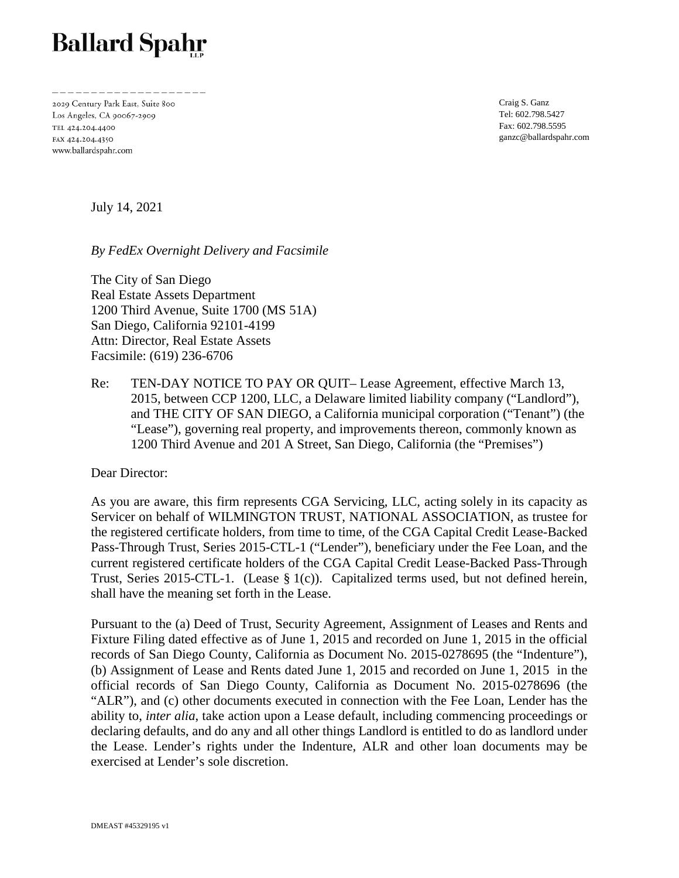## **Ballard Spahr**

2029 Century Park East, Suite 800 Los Angeles, CA 90067-2909 TEL 424.204.4400 FAX 424.204.4350 www.ballardspahr.com

Craig S. Ganz Tel: 602.798.5427 Fax: 602.798.5595 ganzc@ballardspahr.com

July 14, 2021

*By FedEx Overnight Delivery and Facsimile* 

The City of San Diego Real Estate Assets Department 1200 Third Avenue, Suite 1700 (MS 51A) San Diego, California 92101-4199 Attn: Director, Real Estate Assets Facsimile: (619) 236-6706

Re: TEN-DAY NOTICE TO PAY OR QUIT– Lease Agreement, effective March 13, 2015, between CCP 1200, LLC, a Delaware limited liability company ("Landlord"), and THE CITY OF SAN DIEGO, a California municipal corporation ("Tenant") (the "Lease"), governing real property, and improvements thereon, commonly known as 1200 Third Avenue and 201 A Street, San Diego, California (the "Premises")

Dear Director:

As you are aware, this firm represents CGA Servicing, LLC, acting solely in its capacity as Servicer on behalf of WILMINGTON TRUST, NATIONAL ASSOCIATION, as trustee for the registered certificate holders, from time to time, of the CGA Capital Credit Lease-Backed Pass-Through Trust, Series 2015-CTL-1 ("Lender"), beneficiary under the Fee Loan, and the current registered certificate holders of the CGA Capital Credit Lease-Backed Pass-Through Trust, Series 2015-CTL-1. (Lease § 1(c)). Capitalized terms used, but not defined herein, shall have the meaning set forth in the Lease.

Pursuant to the (a) Deed of Trust, Security Agreement, Assignment of Leases and Rents and Fixture Filing dated effective as of June 1, 2015 and recorded on June 1, 2015 in the official records of San Diego County, California as Document No. 2015-0278695 (the "Indenture"), (b) Assignment of Lease and Rents dated June 1, 2015 and recorded on June 1, 2015 in the official records of San Diego County, California as Document No. 2015-0278696 (the "ALR"), and (c) other documents executed in connection with the Fee Loan, Lender has the ability to, *inter alia*, take action upon a Lease default, including commencing proceedings or declaring defaults, and do any and all other things Landlord is entitled to do as landlord under the Lease. Lender's rights under the Indenture, ALR and other loan documents may be exercised at Lender's sole discretion.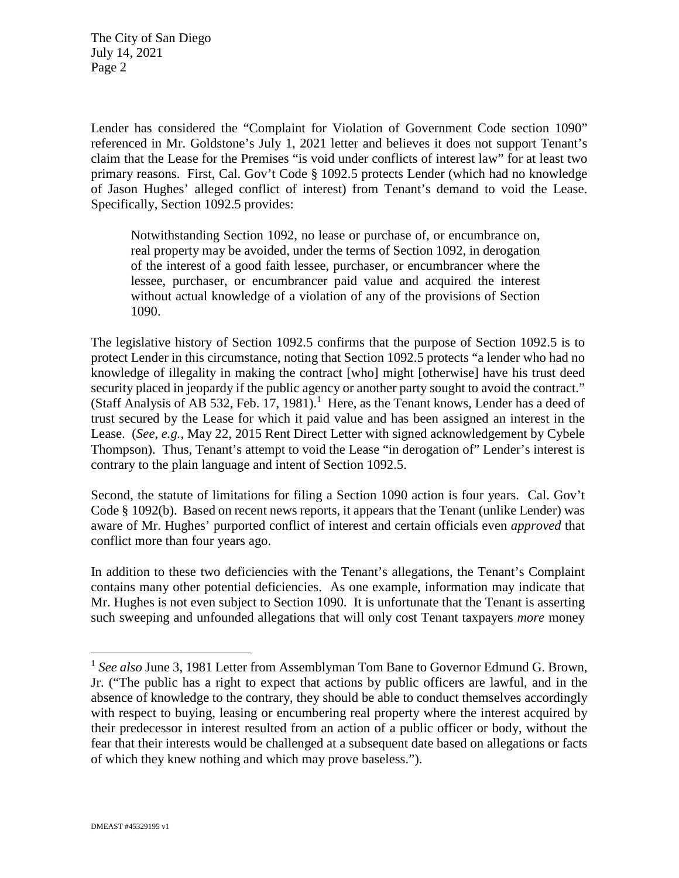Lender has considered the "Complaint for Violation of Government Code section 1090" referenced in Mr. Goldstone's July 1, 2021 letter and believes it does not support Tenant's claim that the Lease for the Premises "is void under conflicts of interest law" for at least two primary reasons. First, Cal. Gov't Code § 1092.5 protects Lender (which had no knowledge of Jason Hughes' alleged conflict of interest) from Tenant's demand to void the Lease. Specifically, Section 1092.5 provides:

Notwithstanding Section 1092, no lease or purchase of, or encumbrance on, real property may be avoided, under the terms of Section 1092, in derogation of the interest of a good faith lessee, purchaser, or encumbrancer where the lessee, purchaser, or encumbrancer paid value and acquired the interest without actual knowledge of a violation of any of the provisions of Section 1090.

The legislative history of Section 1092.5 confirms that the purpose of Section 1092.5 is to protect Lender in this circumstance, noting that Section 1092.5 protects "a lender who had no knowledge of illegality in making the contract [who] might [otherwise] have his trust deed security placed in jeopardy if the public agency or another party sought to avoid the contract." (Staff Analysis of AB 532, Feb. 17, 1981).<sup>1</sup> Here, as the Tenant knows, Lender has a deed of trust secured by the Lease for which it paid value and has been assigned an interest in the Lease. (*See, e.g.*, May 22, 2015 Rent Direct Letter with signed acknowledgement by Cybele Thompson). Thus, Tenant's attempt to void the Lease "in derogation of" Lender's interest is contrary to the plain language and intent of Section 1092.5.

Second, the statute of limitations for filing a Section 1090 action is four years. Cal. Gov't Code § 1092(b). Based on recent news reports, it appears that the Tenant (unlike Lender) was aware of Mr. Hughes' purported conflict of interest and certain officials even *approved* that conflict more than four years ago.

In addition to these two deficiencies with the Tenant's allegations, the Tenant's Complaint contains many other potential deficiencies. As one example, information may indicate that Mr. Hughes is not even subject to Section 1090. It is unfortunate that the Tenant is asserting such sweeping and unfounded allegations that will only cost Tenant taxpayers *more* money

 $\overline{a}$ 

<sup>&</sup>lt;sup>1</sup> See also June 3, 1981 Letter from Assemblyman Tom Bane to Governor Edmund G. Brown, Jr. ("The public has a right to expect that actions by public officers are lawful, and in the absence of knowledge to the contrary, they should be able to conduct themselves accordingly with respect to buying, leasing or encumbering real property where the interest acquired by their predecessor in interest resulted from an action of a public officer or body, without the fear that their interests would be challenged at a subsequent date based on allegations or facts of which they knew nothing and which may prove baseless.").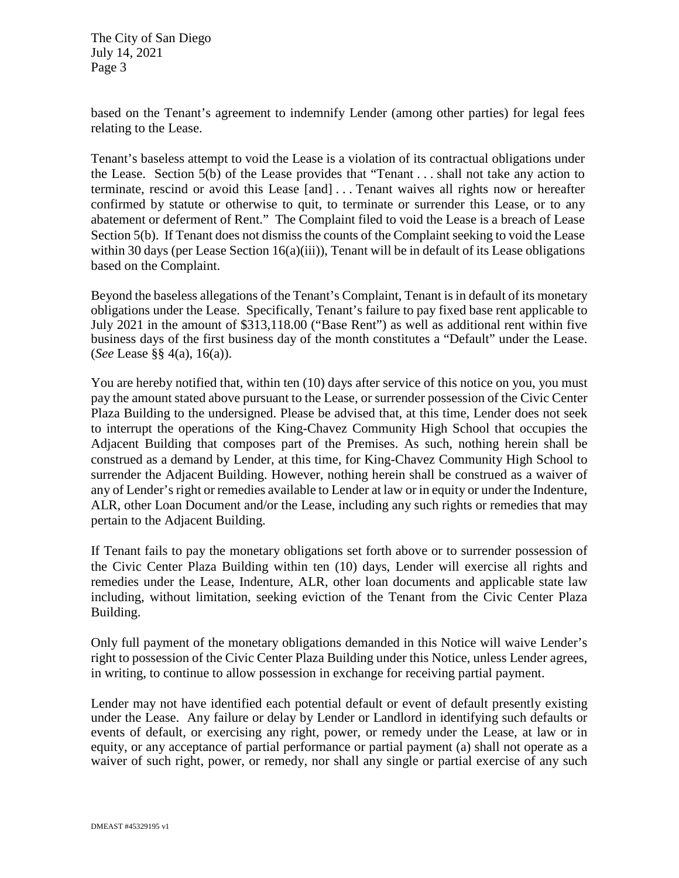based on the Tenant's agreement to indemnify Lender (among other parties) for legal fees relating to the Lease.

Tenant's baseless attempt to void the Lease is a violation of its contractual obligations under the Lease. Section 5(b) of the Lease provides that "Tenant . . . shall not take any action to terminate, rescind or avoid this Lease [and] . . . Tenant waives all rights now or hereafter confirmed by statute or otherwise to quit, to terminate or surrender this Lease, or to any abatement or deferment of Rent." The Complaint filed to void the Lease is a breach of Lease Section 5(b). If Tenant does not dismiss the counts of the Complaint seeking to void the Lease within 30 days (per Lease Section  $16(a)(iii)$ ), Tenant will be in default of its Lease obligations based on the Complaint.

Beyond the baseless allegations of the Tenant's Complaint, Tenant is in default of its monetary obligations under the Lease. Specifically, Tenant's failure to pay fixed base rent applicable to July 2021 in the amount of \$313,118.00 ("Base Rent") as well as additional rent within five business days of the first business day of the month constitutes a "Default" under the Lease. (*See* Lease §§ 4(a), 16(a)).

You are hereby notified that, within ten (10) days after service of this notice on you, you must pay the amount stated above pursuant to the Lease, or surrender possession of the Civic Center Plaza Building to the undersigned. Please be advised that, at this time, Lender does not seek to interrupt the operations of the King-Chavez Community High School that occupies the Adjacent Building that composes part of the Premises. As such, nothing herein shall be construed as a demand by Lender, at this time, for King-Chavez Community High School to surrender the Adjacent Building. However, nothing herein shall be construed as a waiver of any of Lender's right or remedies available to Lender at law or in equity or under the Indenture, ALR, other Loan Document and/or the Lease, including any such rights or remedies that may pertain to the Adjacent Building.

If Tenant fails to pay the monetary obligations set forth above or to surrender possession of the Civic Center Plaza Building within ten (10) days, Lender will exercise all rights and remedies under the Lease, Indenture, ALR, other loan documents and applicable state law including, without limitation, seeking eviction of the Tenant from the Civic Center Plaza Building.

Only full payment of the monetary obligations demanded in this Notice will waive Lender's right to possession of the Civic Center Plaza Building under this Notice, unless Lender agrees, in writing, to continue to allow possession in exchange for receiving partial payment.

Lender may not have identified each potential default or event of default presently existing under the Lease. Any failure or delay by Lender or Landlord in identifying such defaults or events of default, or exercising any right, power, or remedy under the Lease, at law or in equity, or any acceptance of partial performance or partial payment (a) shall not operate as a waiver of such right, power, or remedy, nor shall any single or partial exercise of any such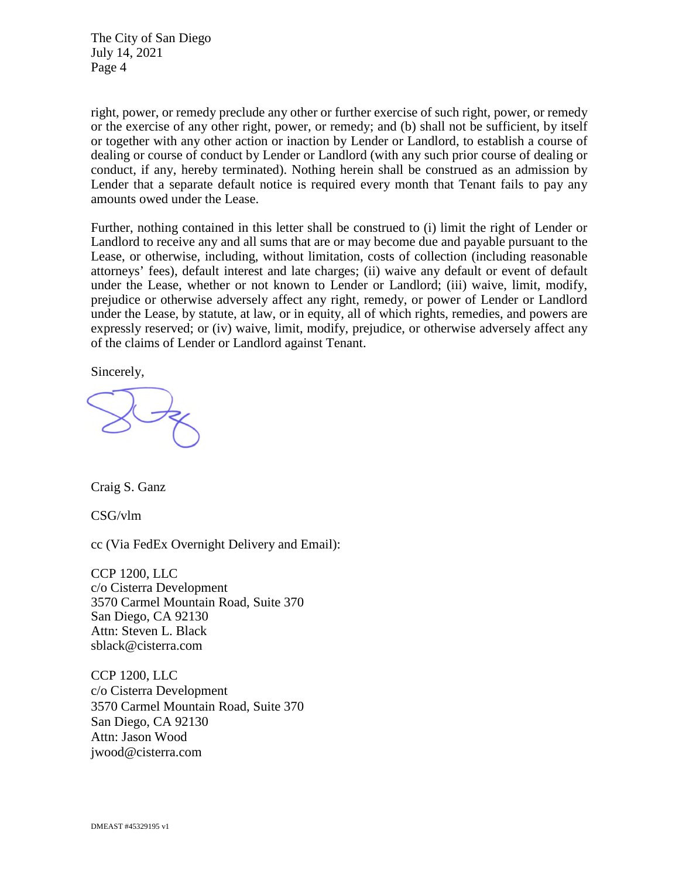right, power, or remedy preclude any other or further exercise of such right, power, or remedy or the exercise of any other right, power, or remedy; and (b) shall not be sufficient, by itself or together with any other action or inaction by Lender or Landlord, to establish a course of dealing or course of conduct by Lender or Landlord (with any such prior course of dealing or conduct, if any, hereby terminated). Nothing herein shall be construed as an admission by Lender that a separate default notice is required every month that Tenant fails to pay any amounts owed under the Lease.

Further, nothing contained in this letter shall be construed to (i) limit the right of Lender or Landlord to receive any and all sums that are or may become due and payable pursuant to the Lease, or otherwise, including, without limitation, costs of collection (including reasonable attorneys' fees), default interest and late charges; (ii) waive any default or event of default under the Lease, whether or not known to Lender or Landlord; (iii) waive, limit, modify, prejudice or otherwise adversely affect any right, remedy, or power of Lender or Landlord under the Lease, by statute, at law, or in equity, all of which rights, remedies, and powers are expressly reserved; or (iv) waive, limit, modify, prejudice, or otherwise adversely affect any of the claims of Lender or Landlord against Tenant.

Sincerely,

Craig S. Ganz

CSG/vlm

cc (Via FedEx Overnight Delivery and Email):

CCP 1200, LLC c/o Cisterra Development 3570 Carmel Mountain Road, Suite 370 San Diego, CA 92130 Attn: Steven L. Black sblack@cisterra.com

CCP 1200, LLC c/o Cisterra Development 3570 Carmel Mountain Road, Suite 370 San Diego, CA 92130 Attn: Jason Wood jwood@cisterra.com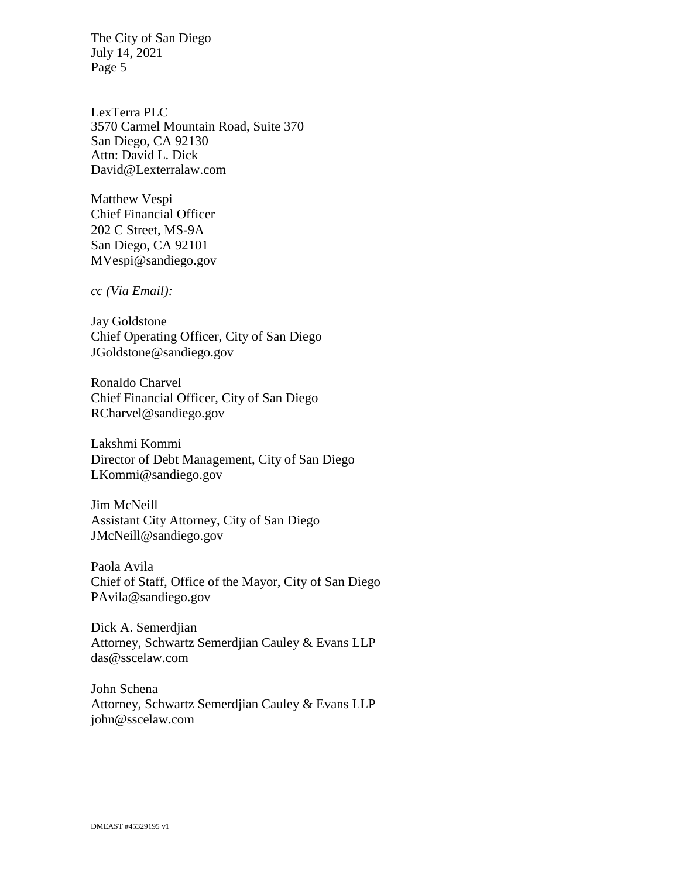LexTerra PLC 3570 Carmel Mountain Road, Suite 370 San Diego, CA 92130 Attn: David L. Dick David@Lexterralaw.com

Matthew Vespi Chief Financial Officer 202 C Street, MS-9A San Diego, CA 92101 MVespi@sandiego.gov

*cc (Via Email):* 

Jay Goldstone Chief Operating Officer, City of San Diego [JGoldstone@sandiego.gov](mailto:JGoldstone@sandiego.gov)

Ronaldo Charvel Chief Financial Officer, City of San Diego RCharvel@sandiego.gov

Lakshmi Kommi Director of Debt Management, City of San Diego LKommi@sandiego.gov

Jim McNeill Assistant City Attorney, City of San Diego JMcNeill@sandiego.gov

Paola Avila Chief of Staff, Office of the Mayor, City of San Diego [PAvila@sandiego.gov](mailto:PAvila@sandiego.gov)

Dick A. Semerdjian Attorney, Schwartz Semerdjian Cauley & Evans LLP das@sscelaw.com

John Schena Attorney, Schwartz Semerdjian Cauley & Evans LLP john@sscelaw.com